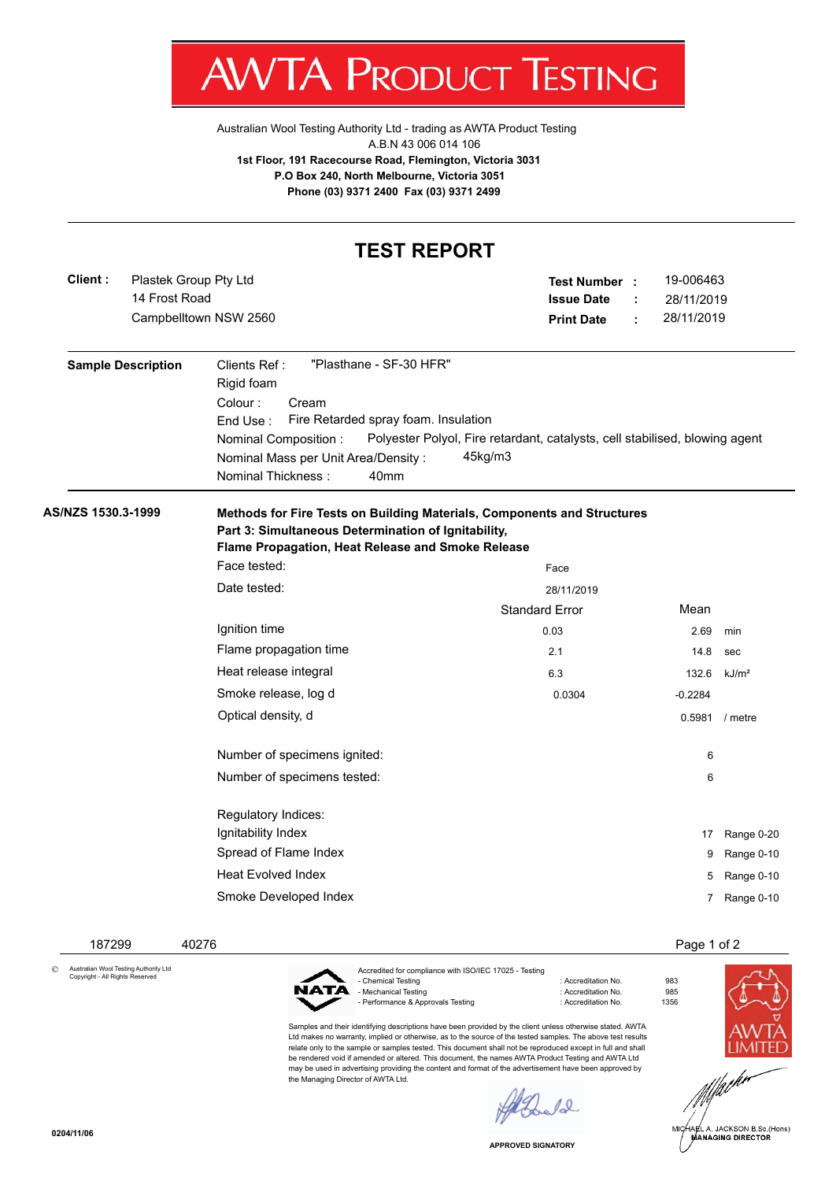V. IΑ ľ 'ROI К ł ESTING

[Australian Wool Testing Authority Ltd - trading as AWTA Product Testing](http://www.awtaproducttesting.com.au/) A.B.N 43 006 014 106 **1st Floor, 191 Racecourse Road, Flemington, Victoria 3031 P.O Box 240, North Melbourne, Victoria 3051 Phone (03) 9371 2400 Fax (03) 9371 2499**

| <b>TEST REPORT</b> |                                        |                                                                                                                                                                                                                                        |                                                                                        |        |                                       |                   |  |  |  |  |
|--------------------|----------------------------------------|----------------------------------------------------------------------------------------------------------------------------------------------------------------------------------------------------------------------------------------|----------------------------------------------------------------------------------------|--------|---------------------------------------|-------------------|--|--|--|--|
| Client:            | Plastek Group Pty Ltd<br>14 Frost Road | Campbelltown NSW 2560                                                                                                                                                                                                                  | <b>Test Number :</b><br><b>Issue Date</b><br><b>Print Date</b>                         | ÷<br>÷ | 19-006463<br>28/11/2019<br>28/11/2019 |                   |  |  |  |  |
|                    | <b>Sample Description</b>              | "Plasthane - SF-30 HFR"<br>Clients Ref:<br>Rigid foam<br>Colour:<br>Cream<br>Fire Retarded spray foam. Insulation<br>End Use:<br>Nominal Composition:<br>Nominal Mass per Unit Area/Density:<br>Nominal Thickness:<br>40 <sub>mm</sub> | Polyester Polyol, Fire retardant, catalysts, cell stabilised, blowing agent<br>45kg/m3 |        |                                       |                   |  |  |  |  |
| AS/NZS 1530.3-1999 |                                        | Methods for Fire Tests on Building Materials, Components and Structures<br>Part 3: Simultaneous Determination of Ignitability,<br>Flame Propagation, Heat Release and Smoke Release                                                    |                                                                                        |        |                                       |                   |  |  |  |  |
|                    |                                        | Face tested:                                                                                                                                                                                                                           | Face                                                                                   |        |                                       |                   |  |  |  |  |
|                    |                                        | Date tested:                                                                                                                                                                                                                           | 28/11/2019                                                                             |        |                                       |                   |  |  |  |  |
|                    |                                        |                                                                                                                                                                                                                                        | <b>Standard Error</b>                                                                  |        | Mean                                  |                   |  |  |  |  |
|                    |                                        | Ignition time                                                                                                                                                                                                                          | 0.03                                                                                   |        | 2.69                                  | min               |  |  |  |  |
|                    |                                        | Flame propagation time                                                                                                                                                                                                                 | 2.1                                                                                    |        | 14.8                                  | sec               |  |  |  |  |
|                    |                                        | Heat release integral                                                                                                                                                                                                                  | 6.3                                                                                    |        | 132.6                                 | kJ/m <sup>2</sup> |  |  |  |  |
|                    |                                        | Smoke release, log d                                                                                                                                                                                                                   | 0.0304                                                                                 |        | $-0.2284$                             |                   |  |  |  |  |
|                    |                                        | Optical density, d                                                                                                                                                                                                                     |                                                                                        |        | 0.5981 / metre                        |                   |  |  |  |  |
|                    |                                        | Number of specimens ignited:                                                                                                                                                                                                           |                                                                                        |        | 6                                     |                   |  |  |  |  |
|                    |                                        | Number of specimens tested:                                                                                                                                                                                                            |                                                                                        |        | 6                                     |                   |  |  |  |  |
|                    |                                        | Regulatory Indices:                                                                                                                                                                                                                    |                                                                                        |        |                                       |                   |  |  |  |  |
|                    |                                        | Ignitability Index                                                                                                                                                                                                                     |                                                                                        |        | 17                                    | Range 0-20        |  |  |  |  |
|                    |                                        | Spread of Flame Index                                                                                                                                                                                                                  |                                                                                        |        | 9                                     | Range 0-10        |  |  |  |  |
|                    |                                        | <b>Heat Evolved Index</b>                                                                                                                                                                                                              |                                                                                        |        |                                       | 5 Range 0-10      |  |  |  |  |
|                    |                                        | Smoke Developed Index                                                                                                                                                                                                                  |                                                                                        |        | 7                                     | Range 0-10        |  |  |  |  |

 187299 40276 Page 1 of 2 Accredited for compliance with ISO/IEC 17025 - Testing © Australian Wool Testing Authority Ltd Copyright - All Rights Reserved : Accreditation No. 983<br>: Accreditation No. 985 NATA - Mechanical Testing in a state of the control of Accreditation No. 985<br>- Performance & Approvals Testing in the control of Accreditation No. 61356 - Performance & Approvals Testing

> Samples and their identifying descriptions have been provided by the client unless otherwise stated. AWTA Ltd makes no warranty, implied or otherwise, as to the source of the tested samples. The above test results relate only to the sample or samples tested. This document shall not be reproduced except in full and shall be rendered void if amended or altered. This document, the names AWTA Product Testing and AWTA Ltd may be used in advertising providing the content and format of the advertisement have been approved by the Managing Director of AWTA Ltd.

 $\ell_{\infty}$ 





.<br>IA∉L A. JACKSON B.Sc.(Hons)<br>MANAGING DIRECTOR